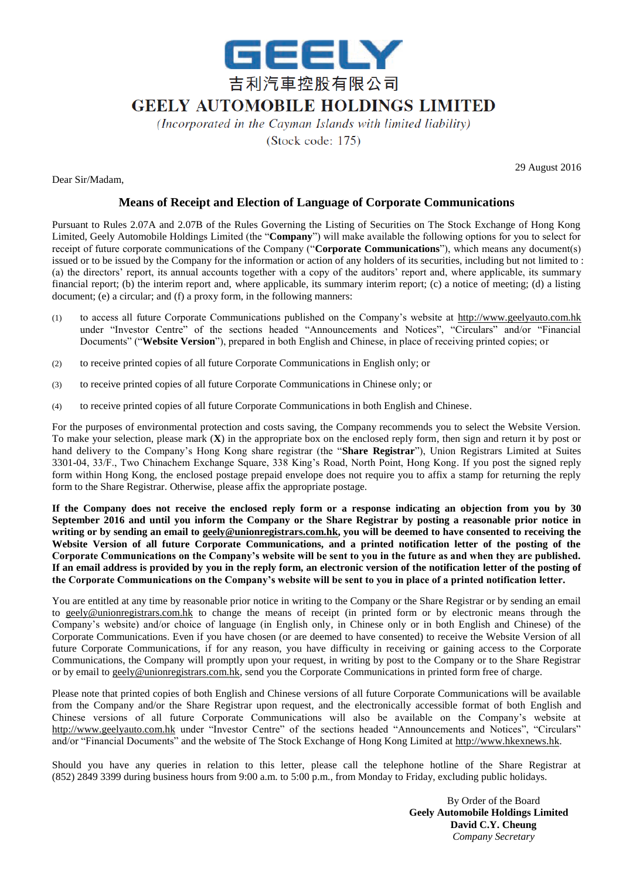

## **GEELY AUTOMOBILE HOLDINGS LIMITED**

(Incorporated in the Cayman Islands with limited liability)

 $(Stock code: 175)$ 

Dear Sir/Madam,

29 August 2016

## **Means of Receipt and Election of Language of Corporate Communications**

Pursuant to Rules 2.07A and 2.07B of the Rules Governing the Listing of Securities on The Stock Exchange of Hong Kong Limited, Geely Automobile Holdings Limited (the "**Company**") will make available the following options for you to select for receipt of future corporate communications of the Company ("**Corporate Communications**"), which means any document(s) issued or to be issued by the Company for the information or action of any holders of its securities, including but not limited to : (a) the directors' report, its annual accounts together with a copy of the auditors' report and, where applicable, its summary financial report; (b) the interim report and, where applicable, its summary interim report; (c) a notice of meeting; (d) a listing document; (e) a circular; and (f) a proxy form, in the following manners:

- (1) to access all future Corporate Communications published on the Company's website at http://www.geelyauto.com.hk under "Investor Centre" of the sections headed "Announcements and Notices", "Circulars" and/or "Financial Documents" ("**Website Version**"), prepared in both English and Chinese, in place of receiving printed copies; or
- (2) to receive printed copies of all future Corporate Communications in English only; or
- (3) to receive printed copies of all future Corporate Communications in Chinese only; or
- (4) to receive printed copies of all future Corporate Communications in both English and Chinese.

For the purposes of environmental protection and costs saving, the Company recommends you to select the Website Version. To make your selection, please mark (**X**) in the appropriate box on the enclosed reply form, then sign and return it by post or hand delivery to the Company's Hong Kong share registrar (the "**Share Registrar**"), Union Registrars Limited at Suites 3301-04, 33/F., Two Chinachem Exchange Square, 338 King's Road, North Point, Hong Kong. If you post the signed reply form within Hong Kong, the enclosed postage prepaid envelope does not require you to affix a stamp for returning the reply form to the Share Registrar. Otherwise, please affix the appropriate postage.

**If the Company does not receive the enclosed reply form or a response indicating an objection from you by 30 September 2016 and until you inform the Company or the Share Registrar by posting a reasonable prior notice in writing or by sending an email to geely@unionregistrars.com.hk, you will be deemed to have consented to receiving the**  Website Version of all future Corporate Communications, and a printed notification letter of the posting of the **Corporate Communications on the Company's website will be sent to you in the future as and when they are published. If an email address is provided by you in the reply form, an electronic version of the notification letter of the posting of the Corporate Communications on the Company's website will be sent to you in place of a printed notification letter.**

You are entitled at any time by reasonable prior notice in writing to the Company or the Share Registrar or by sending an email to geely@unionregistrars.com.hk to change the means of receipt (in printed form or by electronic means through the Company's website) and/or choice of language (in English only, in Chinese only or in both English and Chinese) of the Corporate Communications. Even if you have chosen (or are deemed to have consented) to receive the Website Version of all future Corporate Communications, if for any reason, you have difficulty in receiving or gaining access to the Corporate Communications, the Company will promptly upon your request, in writing by post to the Company or to the Share Registrar or by email to geely@unionregistrars.com.hk, send you the Corporate Communications in printed form free of charge.

Please note that printed copies of both English and Chinese versions of all future Corporate Communications will be available from the Company and/or the Share Registrar upon request, and the electronically accessible format of both English and Chinese versions of all future Corporate Communications will also be available on the Company's website at http://www.geelyauto.com.hk under "Investor Centre" of the sections headed "Announcements and Notices", "Circulars" and/or "Financial Documents" and the website of The Stock Exchange of Hong Kong Limited at http://www.hkexnews.hk.

Should you have any queries in relation to this letter, please call the telephone hotline of the Share Registrar at (852) 2849 3399 during business hours from 9:00 a.m. to 5:00 p.m., from Monday to Friday, excluding public holidays.

> By Order of the Board **Geely Automobile Holdings Limited David C.Y. Cheung** *Company Secretary*